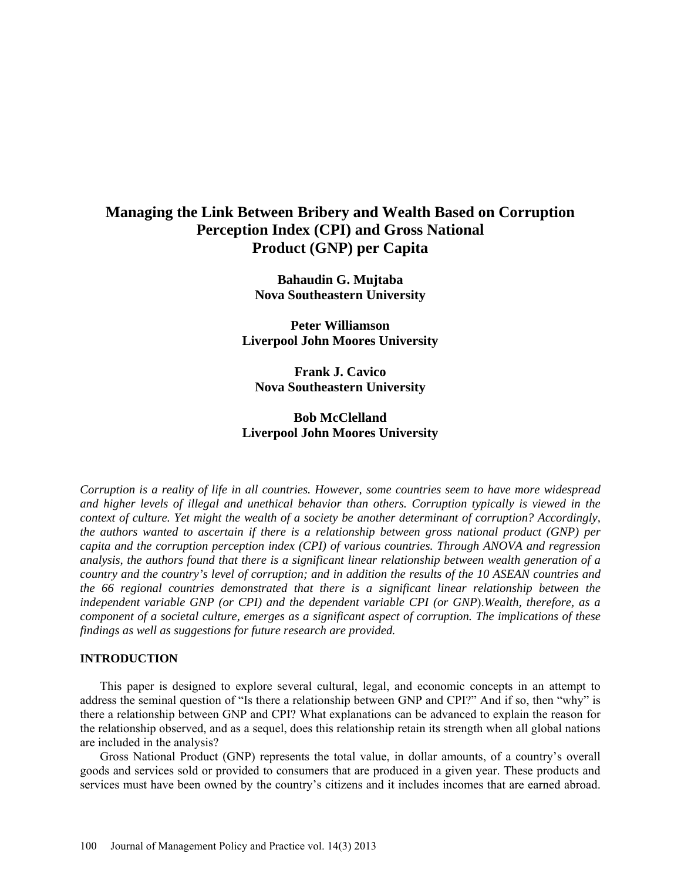# **Managing the Link Between Bribery and Wealth Based on Corruption Perception Index (CPI) and Gross National Product (GNP) per Capita**

**Bahaudin G. Mujtaba Nova Southeastern University**

**Peter Williamson Liverpool John Moores University**

**Frank J. Cavico Nova Southeastern University**

## **Bob McClelland Liverpool John Moores University**

*Corruption is a reality of life in all countries. However, some countries seem to have more widespread and higher levels of illegal and unethical behavior than others. Corruption typically is viewed in the context of culture. Yet might the wealth of a society be another determinant of corruption? Accordingly, the authors wanted to ascertain if there is a relationship between gross national product (GNP) per capita and the corruption perception index (CPI) of various countries. Through ANOVA and regression analysis, the authors found that there is a significant linear relationship between wealth generation of a country and the country's level of corruption; and in addition the results of the 10 ASEAN countries and the 66 regional countries demonstrated that there is a significant linear relationship between the independent variable GNP (or CPI) and the dependent variable CPI (or GNP*).*Wealth, therefore, as a component of a societal culture, emerges as a significant aspect of corruption. The implications of these findings as well as suggestions for future research are provided.* 

#### **INTRODUCTION**

This paper is designed to explore several cultural, legal, and economic concepts in an attempt to address the seminal question of "Is there a relationship between GNP and CPI?" And if so, then "why" is there a relationship between GNP and CPI? What explanations can be advanced to explain the reason for the relationship observed, and as a sequel, does this relationship retain its strength when all global nations are included in the analysis?

Gross National Product (GNP) represents the total value, in dollar amounts, of a country's overall goods and services sold or provided to consumers that are produced in a given year. These products and services must have been owned by the country's citizens and it includes incomes that are earned abroad.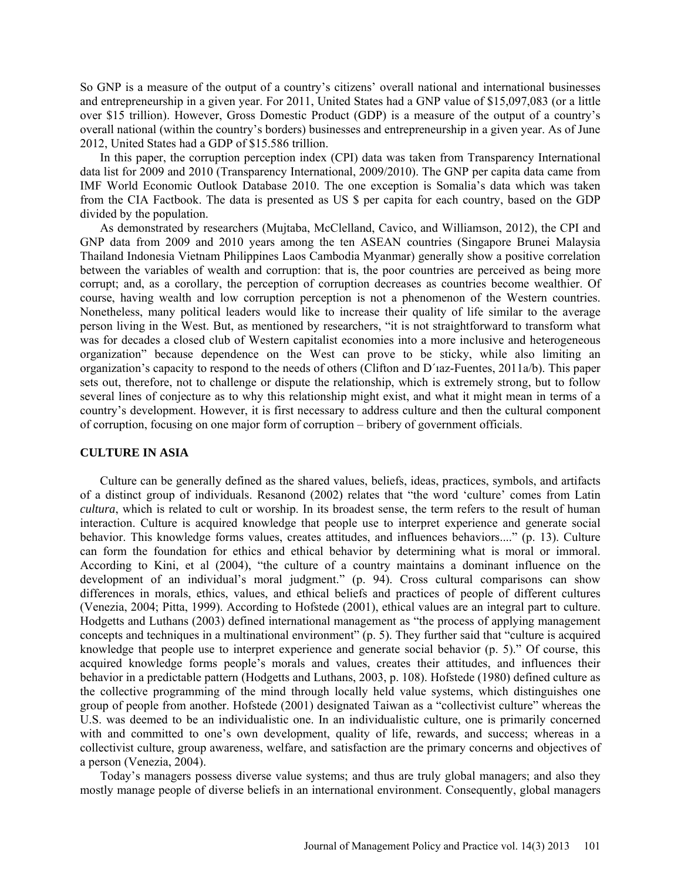So GNP is a measure of the output of a country's citizens' overall national and international businesses and entrepreneurship in a given year. For 2011, United States had a GNP value of \$15,097,083 (or a little over \$15 trillion). However, Gross Domestic Product (GDP) is a measure of the output of a country's overall national (within the country's borders) businesses and entrepreneurship in a given year. As of June 2012, United States had a GDP of \$15.586 trillion.

In this paper, the corruption perception index (CPI) data was taken from Transparency International data list for 2009 and 2010 (Transparency International, 2009/2010). The GNP per capita data came from IMF World Economic Outlook Database 2010. The one exception is Somalia's data which was taken from the CIA Factbook. The data is presented as US \$ per capita for each country, based on the GDP divided by the population.

As demonstrated by researchers (Mujtaba, McClelland, Cavico, and Williamson, 2012), the CPI and GNP data from 2009 and 2010 years among the ten ASEAN countries (Singapore Brunei Malaysia Thailand Indonesia Vietnam Philippines Laos Cambodia Myanmar) generally show a positive correlation between the variables of wealth and corruption: that is, the poor countries are perceived as being more corrupt; and, as a corollary, the perception of corruption decreases as countries become wealthier. Of course, having wealth and low corruption perception is not a phenomenon of the Western countries. Nonetheless, many political leaders would like to increase their quality of life similar to the average person living in the West. But, as mentioned by researchers, "it is not straightforward to transform what was for decades a closed club of Western capitalist economies into a more inclusive and heterogeneous organization" because dependence on the West can prove to be sticky, while also limiting an organization's capacity to respond to the needs of others (Clifton and D´ıaz-Fuentes, 2011a/b). This paper sets out, therefore, not to challenge or dispute the relationship, which is extremely strong, but to follow several lines of conjecture as to why this relationship might exist, and what it might mean in terms of a country's development. However, it is first necessary to address culture and then the cultural component of corruption, focusing on one major form of corruption – bribery of government officials.

## **CULTURE IN ASIA**

Culture can be generally defined as the shared values, beliefs, ideas, practices, symbols, and artifacts of a distinct group of individuals. Resanond (2002) relates that "the word 'culture' comes from Latin *cultura*, which is related to cult or worship. In its broadest sense, the term refers to the result of human interaction. Culture is acquired knowledge that people use to interpret experience and generate social behavior. This knowledge forms values, creates attitudes, and influences behaviors...." (p. 13). Culture can form the foundation for ethics and ethical behavior by determining what is moral or immoral. According to Kini, et al (2004), "the culture of a country maintains a dominant influence on the development of an individual's moral judgment." (p. 94). Cross cultural comparisons can show differences in morals, ethics, values, and ethical beliefs and practices of people of different cultures (Venezia, 2004; Pitta, 1999). According to Hofstede (2001), ethical values are an integral part to culture. Hodgetts and Luthans (2003) defined international management as "the process of applying management concepts and techniques in a multinational environment" (p. 5). They further said that "culture is acquired knowledge that people use to interpret experience and generate social behavior (p. 5)." Of course, this acquired knowledge forms people's morals and values, creates their attitudes, and influences their behavior in a predictable pattern (Hodgetts and Luthans, 2003, p. 108). Hofstede (1980) defined culture as the collective programming of the mind through locally held value systems, which distinguishes one group of people from another. Hofstede (2001) designated Taiwan as a "collectivist culture" whereas the U.S. was deemed to be an individualistic one. In an individualistic culture, one is primarily concerned with and committed to one's own development, quality of life, rewards, and success; whereas in a collectivist culture, group awareness, welfare, and satisfaction are the primary concerns and objectives of a person (Venezia, 2004).

Today's managers possess diverse value systems; and thus are truly global managers; and also they mostly manage people of diverse beliefs in an international environment. Consequently, global managers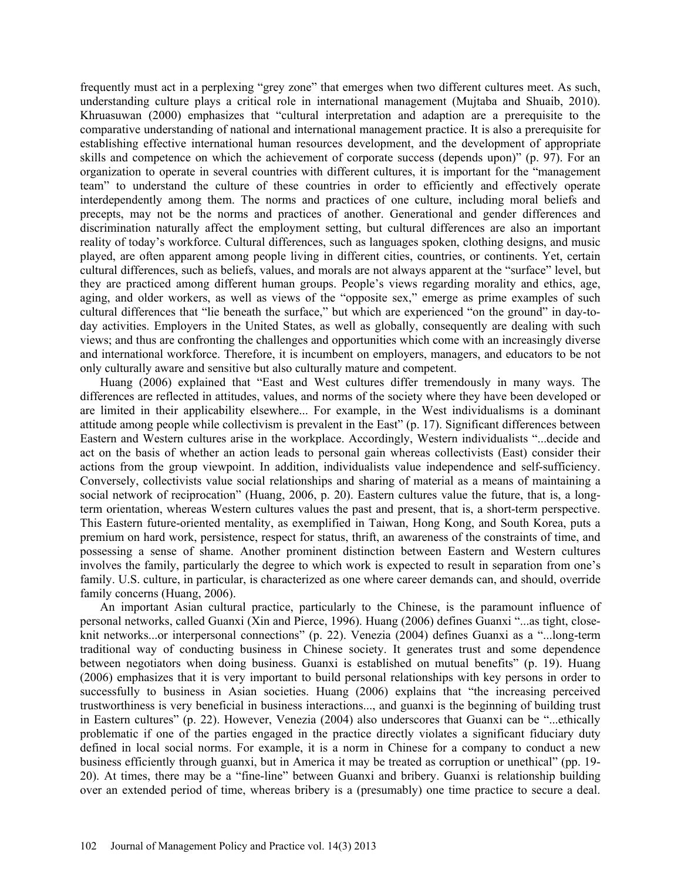frequently must act in a perplexing "grey zone" that emerges when two different cultures meet. As such, understanding culture plays a critical role in international management (Mujtaba and Shuaib, 2010). Khruasuwan (2000) emphasizes that "cultural interpretation and adaption are a prerequisite to the comparative understanding of national and international management practice. It is also a prerequisite for establishing effective international human resources development, and the development of appropriate skills and competence on which the achievement of corporate success (depends upon)" (p. 97). For an organization to operate in several countries with different cultures, it is important for the "management team" to understand the culture of these countries in order to efficiently and effectively operate interdependently among them. The norms and practices of one culture, including moral beliefs and precepts, may not be the norms and practices of another. Generational and gender differences and discrimination naturally affect the employment setting, but cultural differences are also an important reality of today's workforce. Cultural differences, such as languages spoken, clothing designs, and music played, are often apparent among people living in different cities, countries, or continents. Yet, certain cultural differences, such as beliefs, values, and morals are not always apparent at the "surface" level, but they are practiced among different human groups. People's views regarding morality and ethics, age, aging, and older workers, as well as views of the "opposite sex," emerge as prime examples of such cultural differences that "lie beneath the surface," but which are experienced "on the ground" in day-today activities. Employers in the United States, as well as globally, consequently are dealing with such views; and thus are confronting the challenges and opportunities which come with an increasingly diverse and international workforce. Therefore, it is incumbent on employers, managers, and educators to be not only culturally aware and sensitive but also culturally mature and competent.

Huang (2006) explained that "East and West cultures differ tremendously in many ways. The differences are reflected in attitudes, values, and norms of the society where they have been developed or are limited in their applicability elsewhere... For example, in the West individualisms is a dominant attitude among people while collectivism is prevalent in the East" (p. 17). Significant differences between Eastern and Western cultures arise in the workplace. Accordingly, Western individualists "...decide and act on the basis of whether an action leads to personal gain whereas collectivists (East) consider their actions from the group viewpoint. In addition, individualists value independence and self-sufficiency. Conversely, collectivists value social relationships and sharing of material as a means of maintaining a social network of reciprocation" (Huang, 2006, p. 20). Eastern cultures value the future, that is, a longterm orientation, whereas Western cultures values the past and present, that is, a short-term perspective. This Eastern future-oriented mentality, as exemplified in Taiwan, Hong Kong, and South Korea, puts a premium on hard work, persistence, respect for status, thrift, an awareness of the constraints of time, and possessing a sense of shame. Another prominent distinction between Eastern and Western cultures involves the family, particularly the degree to which work is expected to result in separation from one's family. U.S. culture, in particular, is characterized as one where career demands can, and should, override family concerns (Huang, 2006).

An important Asian cultural practice, particularly to the Chinese, is the paramount influence of personal networks, called Guanxi (Xin and Pierce, 1996). Huang (2006) defines Guanxi "...as tight, closeknit networks...or interpersonal connections" (p. 22). Venezia (2004) defines Guanxi as a "...long-term traditional way of conducting business in Chinese society. It generates trust and some dependence between negotiators when doing business. Guanxi is established on mutual benefits" (p. 19). Huang (2006) emphasizes that it is very important to build personal relationships with key persons in order to successfully to business in Asian societies. Huang (2006) explains that "the increasing perceived trustworthiness is very beneficial in business interactions..., and guanxi is the beginning of building trust in Eastern cultures" (p. 22). However, Venezia (2004) also underscores that Guanxi can be "...ethically problematic if one of the parties engaged in the practice directly violates a significant fiduciary duty defined in local social norms. For example, it is a norm in Chinese for a company to conduct a new business efficiently through guanxi, but in America it may be treated as corruption or unethical" (pp. 19- 20). At times, there may be a "fine-line" between Guanxi and bribery. Guanxi is relationship building over an extended period of time, whereas bribery is a (presumably) one time practice to secure a deal.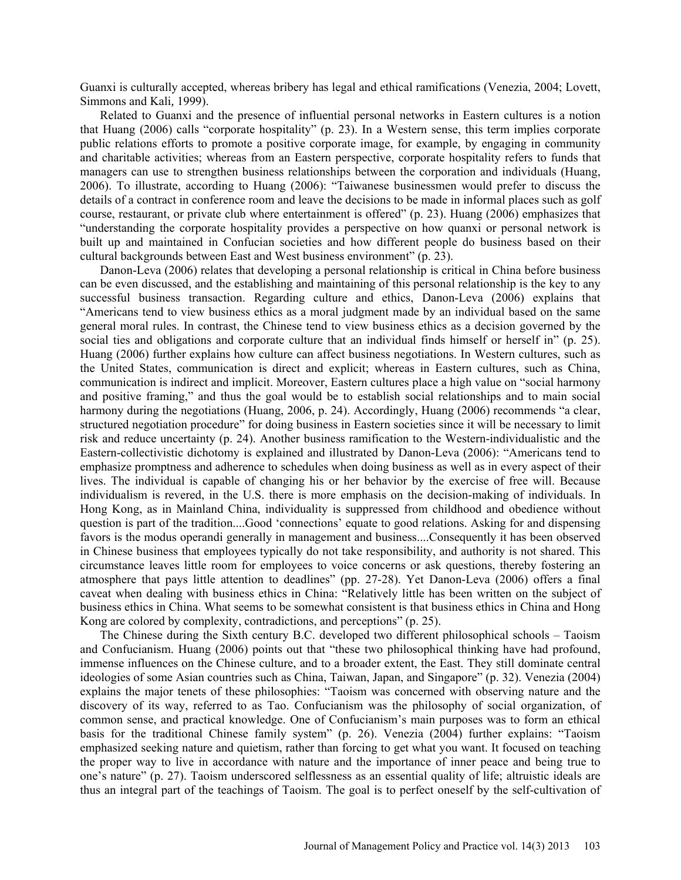Guanxi is culturally accepted, whereas bribery has legal and ethical ramifications (Venezia, 2004; Lovett, Simmons and Kali*,* 1999).

Related to Guanxi and the presence of influential personal networks in Eastern cultures is a notion that Huang (2006) calls "corporate hospitality" (p. 23). In a Western sense, this term implies corporate public relations efforts to promote a positive corporate image, for example, by engaging in community and charitable activities; whereas from an Eastern perspective, corporate hospitality refers to funds that managers can use to strengthen business relationships between the corporation and individuals (Huang, 2006). To illustrate, according to Huang (2006): "Taiwanese businessmen would prefer to discuss the details of a contract in conference room and leave the decisions to be made in informal places such as golf course, restaurant, or private club where entertainment is offered" (p. 23). Huang (2006) emphasizes that "understanding the corporate hospitality provides a perspective on how quanxi or personal network is built up and maintained in Confucian societies and how different people do business based on their cultural backgrounds between East and West business environment" (p. 23).

Danon-Leva (2006) relates that developing a personal relationship is critical in China before business can be even discussed, and the establishing and maintaining of this personal relationship is the key to any successful business transaction. Regarding culture and ethics, Danon-Leva (2006) explains that "Americans tend to view business ethics as a moral judgment made by an individual based on the same general moral rules. In contrast, the Chinese tend to view business ethics as a decision governed by the social ties and obligations and corporate culture that an individual finds himself or herself in" (p. 25). Huang (2006) further explains how culture can affect business negotiations. In Western cultures, such as the United States, communication is direct and explicit; whereas in Eastern cultures, such as China, communication is indirect and implicit. Moreover, Eastern cultures place a high value on "social harmony and positive framing," and thus the goal would be to establish social relationships and to main social harmony during the negotiations (Huang, 2006, p. 24). Accordingly, Huang (2006) recommends "a clear, structured negotiation procedure" for doing business in Eastern societies since it will be necessary to limit risk and reduce uncertainty (p. 24). Another business ramification to the Western-individualistic and the Eastern-collectivistic dichotomy is explained and illustrated by Danon-Leva (2006): "Americans tend to emphasize promptness and adherence to schedules when doing business as well as in every aspect of their lives. The individual is capable of changing his or her behavior by the exercise of free will. Because individualism is revered, in the U.S. there is more emphasis on the decision-making of individuals. In Hong Kong, as in Mainland China, individuality is suppressed from childhood and obedience without question is part of the tradition....Good 'connections' equate to good relations. Asking for and dispensing favors is the modus operandi generally in management and business....Consequently it has been observed in Chinese business that employees typically do not take responsibility, and authority is not shared. This circumstance leaves little room for employees to voice concerns or ask questions, thereby fostering an atmosphere that pays little attention to deadlines" (pp. 27-28). Yet Danon-Leva (2006) offers a final caveat when dealing with business ethics in China: "Relatively little has been written on the subject of business ethics in China. What seems to be somewhat consistent is that business ethics in China and Hong Kong are colored by complexity, contradictions, and perceptions" (p. 25).

The Chinese during the Sixth century B.C. developed two different philosophical schools – Taoism and Confucianism. Huang (2006) points out that "these two philosophical thinking have had profound, immense influences on the Chinese culture, and to a broader extent, the East. They still dominate central ideologies of some Asian countries such as China, Taiwan, Japan, and Singapore" (p. 32). Venezia (2004) explains the major tenets of these philosophies: "Taoism was concerned with observing nature and the discovery of its way, referred to as Tao. Confucianism was the philosophy of social organization, of common sense, and practical knowledge. One of Confucianism's main purposes was to form an ethical basis for the traditional Chinese family system" (p. 26). Venezia (2004) further explains: "Taoism emphasized seeking nature and quietism, rather than forcing to get what you want. It focused on teaching the proper way to live in accordance with nature and the importance of inner peace and being true to one's nature" (p. 27). Taoism underscored selflessness as an essential quality of life; altruistic ideals are thus an integral part of the teachings of Taoism. The goal is to perfect oneself by the self-cultivation of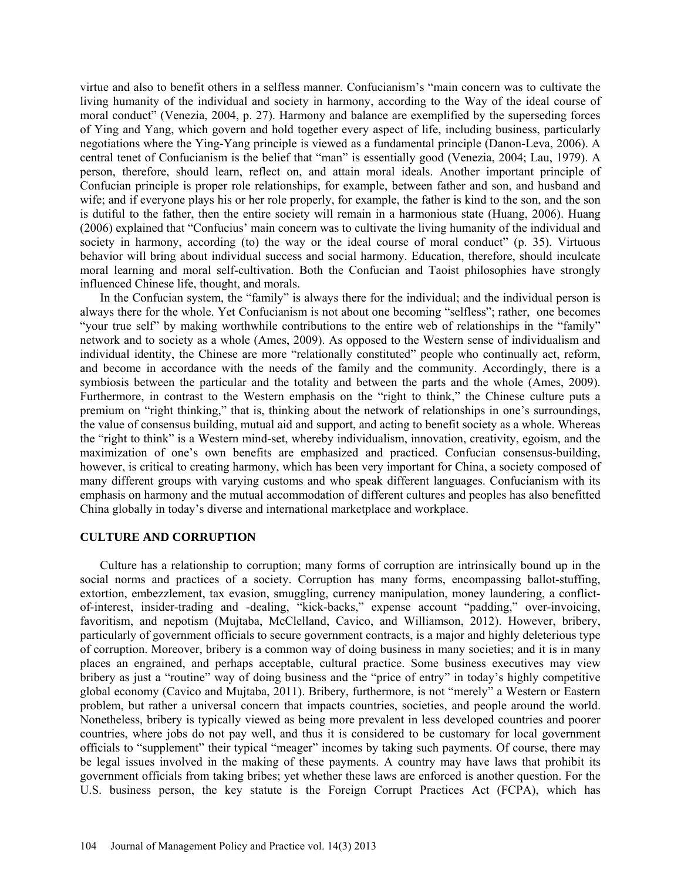virtue and also to benefit others in a selfless manner. Confucianism's "main concern was to cultivate the living humanity of the individual and society in harmony, according to the Way of the ideal course of moral conduct" (Venezia, 2004, p. 27). Harmony and balance are exemplified by the superseding forces of Ying and Yang, which govern and hold together every aspect of life, including business, particularly negotiations where the Ying-Yang principle is viewed as a fundamental principle (Danon-Leva, 2006). A central tenet of Confucianism is the belief that "man" is essentially good (Venezia, 2004; Lau, 1979). A person, therefore, should learn, reflect on, and attain moral ideals. Another important principle of Confucian principle is proper role relationships, for example, between father and son, and husband and wife; and if everyone plays his or her role properly, for example, the father is kind to the son, and the son is dutiful to the father, then the entire society will remain in a harmonious state (Huang, 2006). Huang (2006) explained that "Confucius' main concern was to cultivate the living humanity of the individual and society in harmony, according (to) the way or the ideal course of moral conduct" (p. 35). Virtuous behavior will bring about individual success and social harmony. Education, therefore, should inculcate moral learning and moral self-cultivation. Both the Confucian and Taoist philosophies have strongly influenced Chinese life, thought, and morals.

In the Confucian system, the "family" is always there for the individual; and the individual person is always there for the whole. Yet Confucianism is not about one becoming "selfless"; rather, one becomes "your true self" by making worthwhile contributions to the entire web of relationships in the "family" network and to society as a whole (Ames, 2009). As opposed to the Western sense of individualism and individual identity, the Chinese are more "relationally constituted" people who continually act, reform, and become in accordance with the needs of the family and the community. Accordingly, there is a symbiosis between the particular and the totality and between the parts and the whole (Ames, 2009). Furthermore, in contrast to the Western emphasis on the "right to think," the Chinese culture puts a premium on "right thinking," that is, thinking about the network of relationships in one's surroundings, the value of consensus building, mutual aid and support, and acting to benefit society as a whole. Whereas the "right to think" is a Western mind-set, whereby individualism, innovation, creativity, egoism, and the maximization of one's own benefits are emphasized and practiced. Confucian consensus-building, however, is critical to creating harmony, which has been very important for China, a society composed of many different groups with varying customs and who speak different languages. Confucianism with its emphasis on harmony and the mutual accommodation of different cultures and peoples has also benefitted China globally in today's diverse and international marketplace and workplace.

#### **CULTURE AND CORRUPTION**

Culture has a relationship to corruption; many forms of corruption are intrinsically bound up in the social norms and practices of a society. Corruption has many forms, encompassing ballot-stuffing, extortion, embezzlement, tax evasion, smuggling, currency manipulation, money laundering, a conflictof-interest, insider-trading and -dealing, "kick-backs," expense account "padding," over-invoicing, favoritism, and nepotism (Mujtaba, McClelland, Cavico, and Williamson, 2012). However, bribery, particularly of government officials to secure government contracts, is a major and highly deleterious type of corruption. Moreover, bribery is a common way of doing business in many societies; and it is in many places an engrained, and perhaps acceptable, cultural practice. Some business executives may view bribery as just a "routine" way of doing business and the "price of entry" in today's highly competitive global economy (Cavico and Mujtaba, 2011). Bribery, furthermore, is not "merely" a Western or Eastern problem, but rather a universal concern that impacts countries, societies, and people around the world. Nonetheless, bribery is typically viewed as being more prevalent in less developed countries and poorer countries, where jobs do not pay well, and thus it is considered to be customary for local government officials to "supplement" their typical "meager" incomes by taking such payments. Of course, there may be legal issues involved in the making of these payments. A country may have laws that prohibit its government officials from taking bribes; yet whether these laws are enforced is another question. For the U.S. business person, the key statute is the Foreign Corrupt Practices Act (FCPA), which has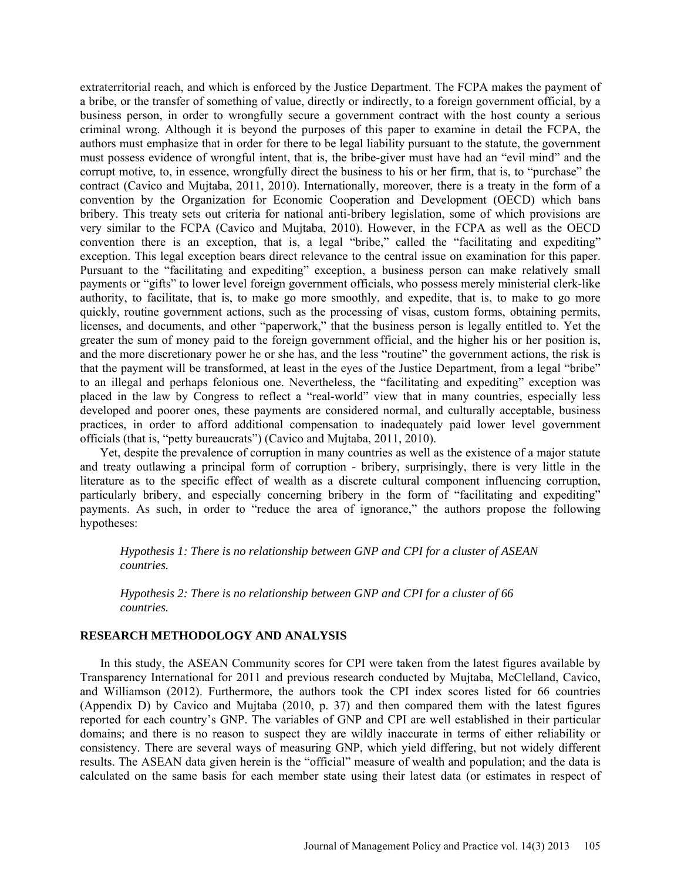extraterritorial reach, and which is enforced by the Justice Department. The FCPA makes the payment of a bribe, or the transfer of something of value, directly or indirectly, to a foreign government official, by a business person, in order to wrongfully secure a government contract with the host county a serious criminal wrong. Although it is beyond the purposes of this paper to examine in detail the FCPA, the authors must emphasize that in order for there to be legal liability pursuant to the statute, the government must possess evidence of wrongful intent, that is, the bribe-giver must have had an "evil mind" and the corrupt motive, to, in essence, wrongfully direct the business to his or her firm, that is, to "purchase" the contract (Cavico and Mujtaba, 2011, 2010). Internationally, moreover, there is a treaty in the form of a convention by the Organization for Economic Cooperation and Development (OECD) which bans bribery. This treaty sets out criteria for national anti-bribery legislation, some of which provisions are very similar to the FCPA (Cavico and Mujtaba, 2010). However, in the FCPA as well as the OECD convention there is an exception, that is, a legal "bribe," called the "facilitating and expediting" exception. This legal exception bears direct relevance to the central issue on examination for this paper. Pursuant to the "facilitating and expediting" exception, a business person can make relatively small payments or "gifts" to lower level foreign government officials, who possess merely ministerial clerk-like authority, to facilitate, that is, to make go more smoothly, and expedite, that is, to make to go more quickly, routine government actions, such as the processing of visas, custom forms, obtaining permits, licenses, and documents, and other "paperwork," that the business person is legally entitled to. Yet the greater the sum of money paid to the foreign government official, and the higher his or her position is, and the more discretionary power he or she has, and the less "routine" the government actions, the risk is that the payment will be transformed, at least in the eyes of the Justice Department, from a legal "bribe" to an illegal and perhaps felonious one. Nevertheless, the "facilitating and expediting" exception was placed in the law by Congress to reflect a "real-world" view that in many countries, especially less developed and poorer ones, these payments are considered normal, and culturally acceptable, business practices, in order to afford additional compensation to inadequately paid lower level government officials (that is, "petty bureaucrats") (Cavico and Mujtaba, 2011, 2010).

Yet, despite the prevalence of corruption in many countries as well as the existence of a major statute and treaty outlawing a principal form of corruption - bribery, surprisingly, there is very little in the literature as to the specific effect of wealth as a discrete cultural component influencing corruption, particularly bribery, and especially concerning bribery in the form of "facilitating and expediting" payments. As such, in order to "reduce the area of ignorance," the authors propose the following hypotheses:

*Hypothesis 1: There is no relationship between GNP and CPI for a cluster of ASEAN countries.* 

*Hypothesis 2: There is no relationship between GNP and CPI for a cluster of 66 countries.* 

## **RESEARCH METHODOLOGY AND ANALYSIS**

In this study, the ASEAN Community scores for CPI were taken from the latest figures available by Transparency International for 2011 and previous research conducted by Mujtaba, McClelland, Cavico, and Williamson (2012). Furthermore, the authors took the CPI index scores listed for 66 countries (Appendix D) by Cavico and Mujtaba (2010, p. 37) and then compared them with the latest figures reported for each country's GNP. The variables of GNP and CPI are well established in their particular domains; and there is no reason to suspect they are wildly inaccurate in terms of either reliability or consistency. There are several ways of measuring GNP, which yield differing, but not widely different results. The ASEAN data given herein is the "official" measure of wealth and population; and the data is calculated on the same basis for each member state using their latest data (or estimates in respect of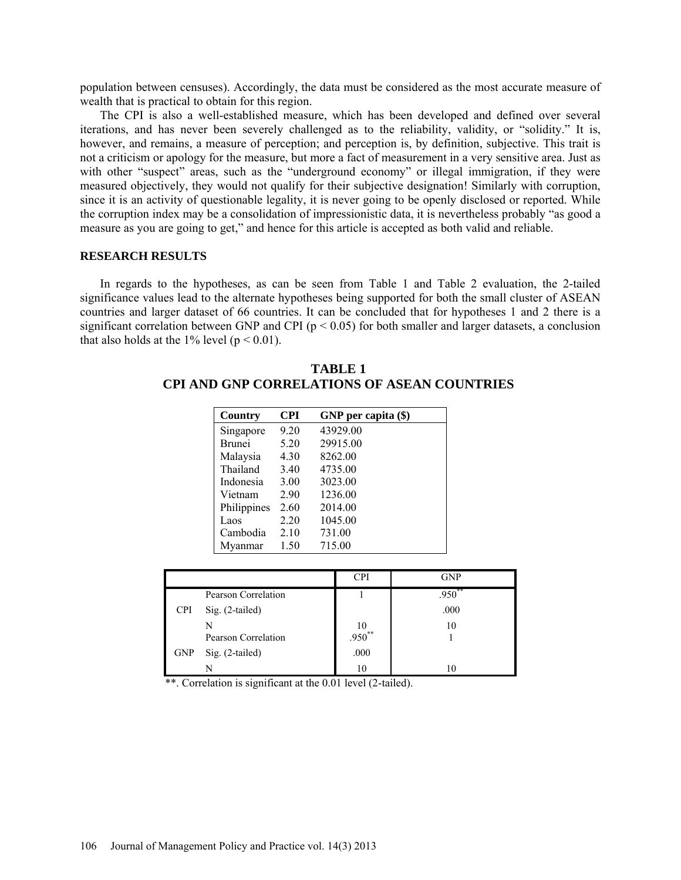population between censuses). Accordingly, the data must be considered as the most accurate measure of wealth that is practical to obtain for this region.

The CPI is also a well-established measure, which has been developed and defined over several iterations, and has never been severely challenged as to the reliability, validity, or "solidity." It is, however, and remains, a measure of perception; and perception is, by definition, subjective. This trait is not a criticism or apology for the measure, but more a fact of measurement in a very sensitive area. Just as with other "suspect" areas, such as the "underground economy" or illegal immigration, if they were measured objectively, they would not qualify for their subjective designation! Similarly with corruption, since it is an activity of questionable legality, it is never going to be openly disclosed or reported. While the corruption index may be a consolidation of impressionistic data, it is nevertheless probably "as good a measure as you are going to get," and hence for this article is accepted as both valid and reliable.

## **RESEARCH RESULTS**

In regards to the hypotheses, as can be seen from Table 1 and Table 2 evaluation, the 2-tailed significance values lead to the alternate hypotheses being supported for both the small cluster of ASEAN countries and larger dataset of 66 countries. It can be concluded that for hypotheses 1 and 2 there is a significant correlation between GNP and CPI ( $p < 0.05$ ) for both smaller and larger datasets, a conclusion that also holds at the 1% level ( $p < 0.01$ ).

| Country       | <b>CPI</b> | GNP per capita (\$) |  |
|---------------|------------|---------------------|--|
| Singapore     | 9.20       | 43929.00            |  |
| <b>Brunei</b> | 5.20       | 29915.00            |  |
| Malaysia      | 4.30       | 8262.00             |  |
| Thailand      | 3.40       | 4735.00             |  |
| Indonesia     | 3.00       | 3023.00             |  |
| Vietnam       | 2.90       | 1236.00             |  |
| Philippines   | 2.60       | 2014.00             |  |
| Laos          | 2.20       | 1045.00             |  |
| Cambodia      | 2.10       | 731.00              |  |
| Mvanmar       | 1.50       | 715.00              |  |

**TABLE 1 CPI AND GNP CORRELATIONS OF ASEAN COUNTRIES**

|            |                     | CPI                | <b>GNP</b> |
|------------|---------------------|--------------------|------------|
|            | Pearson Correlation |                    | $.950**$   |
| <b>CPI</b> | Sig. (2-tailed)     |                    | .000       |
|            | N                   | $\frac{10}{0.950}$ | 10         |
|            | Pearson Correlation |                    |            |
| <b>GNP</b> | Sig. (2-tailed)     | .000               |            |
|            | N                   |                    |            |

\*\*. Correlation is significant at the 0.01 level (2-tailed).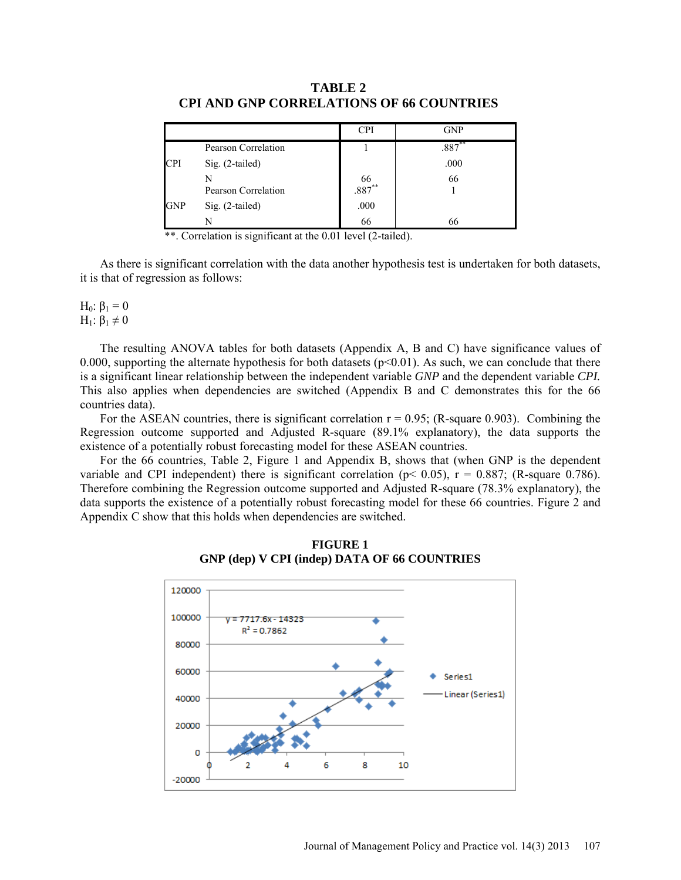|            |                     | <b>CPI</b>           | <b>GNP</b> |
|------------|---------------------|----------------------|------------|
|            | Pearson Correlation |                      | $.887***$  |
| CPI        | Sig. (2-tailed)     |                      | .000       |
|            | Pearson Correlation | $\frac{66}{.887}$ ** | 66         |
| <b>GNP</b> | Sig. (2-tailed)     | .000                 |            |
|            |                     | 66                   | 66         |

**TABLE 2 CPI AND GNP CORRELATIONS OF 66 COUNTRIES**

\*\*. Correlation is significant at the 0.01 level (2-tailed).

As there is significant correlation with the data another hypothesis test is undertaken for both datasets, it is that of regression as follows:

H<sub>0</sub>: β<sub>1</sub> = 0 H<sub>1</sub>:  $β_1 \neq 0$ 

The resulting ANOVA tables for both datasets (Appendix A, B and C) have significance values of 0.000, supporting the alternate hypothesis for both datasets ( $p<0.01$ ). As such, we can conclude that there is a significant linear relationship between the independent variable *GNP* and the dependent variable *CPI.*  This also applies when dependencies are switched (Appendix B and C demonstrates this for the 66 countries data).

For the ASEAN countries, there is significant correlation  $r = 0.95$ ; (R-square 0.903). Combining the Regression outcome supported and Adjusted R-square (89.1% explanatory), the data supports the existence of a potentially robust forecasting model for these ASEAN countries.

For the 66 countries, Table 2, Figure 1 and Appendix B, shows that (when GNP is the dependent variable and CPI independent) there is significant correlation ( $p < 0.05$ ),  $r = 0.887$ ; (R-square 0.786). Therefore combining the Regression outcome supported and Adjusted R-square (78.3% explanatory), the data supports the existence of a potentially robust forecasting model for these 66 countries. Figure 2 and Appendix C show that this holds when dependencies are switched.



**FIGURE 1 GNP (dep) V CPI (indep) DATA OF 66 COUNTRIES**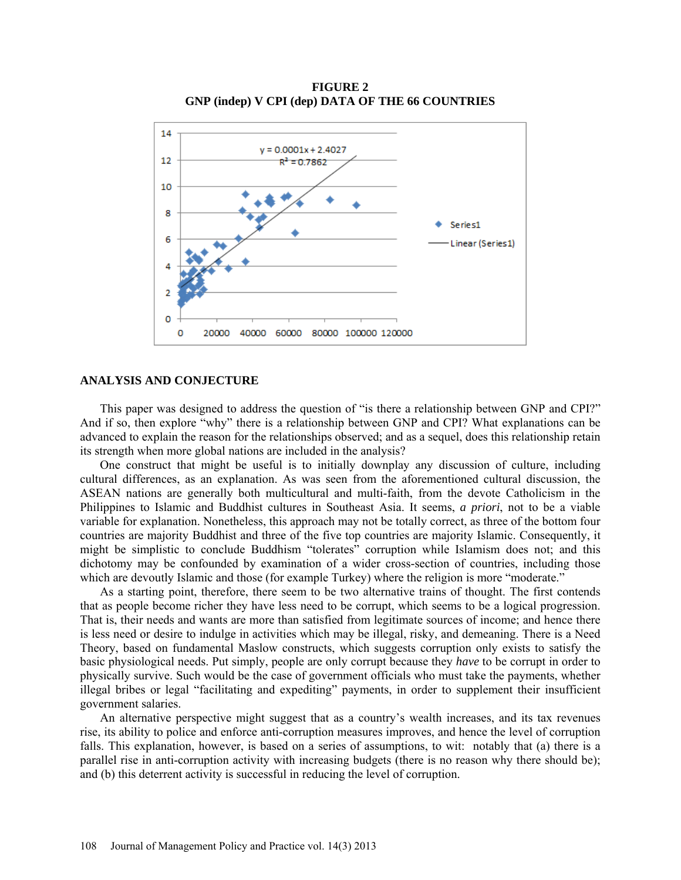

**FIGURE 2 GNP (indep) V CPI (dep) DATA OF THE 66 COUNTRIES**

#### **ANALYSIS AND CONJECTURE**

This paper was designed to address the question of "is there a relationship between GNP and CPI?" And if so, then explore "why" there is a relationship between GNP and CPI? What explanations can be advanced to explain the reason for the relationships observed; and as a sequel, does this relationship retain its strength when more global nations are included in the analysis?

One construct that might be useful is to initially downplay any discussion of culture, including cultural differences, as an explanation. As was seen from the aforementioned cultural discussion, the ASEAN nations are generally both multicultural and multi-faith, from the devote Catholicism in the Philippines to Islamic and Buddhist cultures in Southeast Asia. It seems, *a priori*, not to be a viable variable for explanation. Nonetheless, this approach may not be totally correct, as three of the bottom four countries are majority Buddhist and three of the five top countries are majority Islamic. Consequently, it might be simplistic to conclude Buddhism "tolerates" corruption while Islamism does not; and this dichotomy may be confounded by examination of a wider cross-section of countries, including those which are devoutly Islamic and those (for example Turkey) where the religion is more "moderate."

As a starting point, therefore, there seem to be two alternative trains of thought. The first contends that as people become richer they have less need to be corrupt, which seems to be a logical progression. That is, their needs and wants are more than satisfied from legitimate sources of income; and hence there is less need or desire to indulge in activities which may be illegal, risky, and demeaning. There is a Need Theory, based on fundamental Maslow constructs, which suggests corruption only exists to satisfy the basic physiological needs. Put simply, people are only corrupt because they *have* to be corrupt in order to physically survive. Such would be the case of government officials who must take the payments, whether illegal bribes or legal "facilitating and expediting" payments, in order to supplement their insufficient government salaries.

An alternative perspective might suggest that as a country's wealth increases, and its tax revenues rise, its ability to police and enforce anti-corruption measures improves, and hence the level of corruption falls. This explanation, however, is based on a series of assumptions, to wit: notably that (a) there is a parallel rise in anti-corruption activity with increasing budgets (there is no reason why there should be); and (b) this deterrent activity is successful in reducing the level of corruption.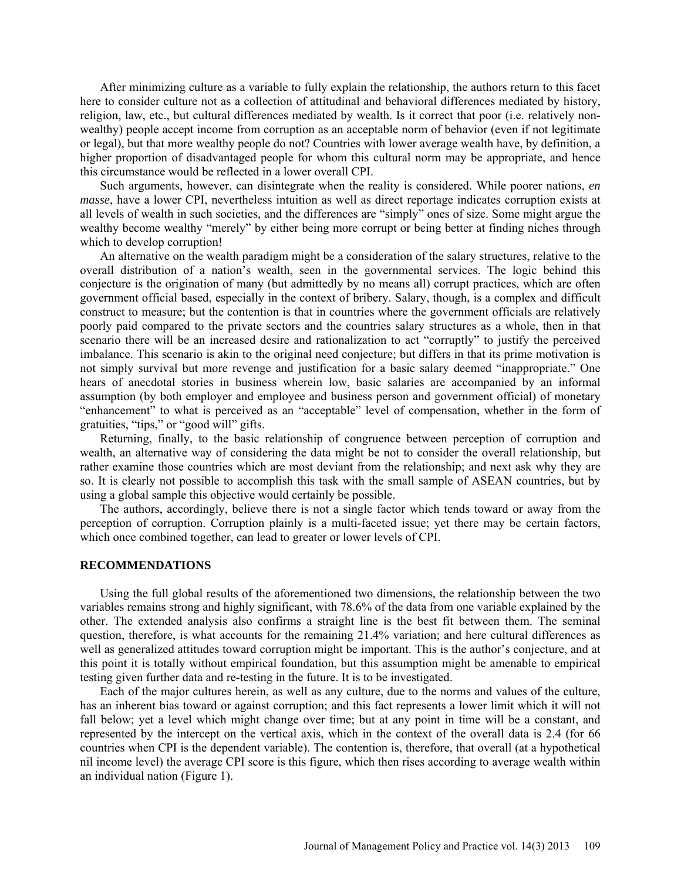After minimizing culture as a variable to fully explain the relationship, the authors return to this facet here to consider culture not as a collection of attitudinal and behavioral differences mediated by history, religion, law, etc., but cultural differences mediated by wealth. Is it correct that poor (i.e. relatively nonwealthy) people accept income from corruption as an acceptable norm of behavior (even if not legitimate or legal), but that more wealthy people do not? Countries with lower average wealth have, by definition, a higher proportion of disadvantaged people for whom this cultural norm may be appropriate, and hence this circumstance would be reflected in a lower overall CPI.

Such arguments, however, can disintegrate when the reality is considered. While poorer nations, *en masse*, have a lower CPI, nevertheless intuition as well as direct reportage indicates corruption exists at all levels of wealth in such societies, and the differences are "simply" ones of size. Some might argue the wealthy become wealthy "merely" by either being more corrupt or being better at finding niches through which to develop corruption!

An alternative on the wealth paradigm might be a consideration of the salary structures, relative to the overall distribution of a nation's wealth, seen in the governmental services. The logic behind this conjecture is the origination of many (but admittedly by no means all) corrupt practices, which are often government official based, especially in the context of bribery. Salary, though, is a complex and difficult construct to measure; but the contention is that in countries where the government officials are relatively poorly paid compared to the private sectors and the countries salary structures as a whole, then in that scenario there will be an increased desire and rationalization to act "corruptly" to justify the perceived imbalance. This scenario is akin to the original need conjecture; but differs in that its prime motivation is not simply survival but more revenge and justification for a basic salary deemed "inappropriate." One hears of anecdotal stories in business wherein low, basic salaries are accompanied by an informal assumption (by both employer and employee and business person and government official) of monetary "enhancement" to what is perceived as an "acceptable" level of compensation, whether in the form of gratuities, "tips," or "good will" gifts.

Returning, finally, to the basic relationship of congruence between perception of corruption and wealth, an alternative way of considering the data might be not to consider the overall relationship, but rather examine those countries which are most deviant from the relationship; and next ask why they are so. It is clearly not possible to accomplish this task with the small sample of ASEAN countries, but by using a global sample this objective would certainly be possible.

The authors, accordingly, believe there is not a single factor which tends toward or away from the perception of corruption. Corruption plainly is a multi-faceted issue; yet there may be certain factors, which once combined together, can lead to greater or lower levels of CPI.

### **RECOMMENDATIONS**

Using the full global results of the aforementioned two dimensions, the relationship between the two variables remains strong and highly significant, with 78.6% of the data from one variable explained by the other. The extended analysis also confirms a straight line is the best fit between them. The seminal question, therefore, is what accounts for the remaining 21.4% variation; and here cultural differences as well as generalized attitudes toward corruption might be important. This is the author's conjecture, and at this point it is totally without empirical foundation, but this assumption might be amenable to empirical testing given further data and re-testing in the future. It is to be investigated.

Each of the major cultures herein, as well as any culture, due to the norms and values of the culture, has an inherent bias toward or against corruption; and this fact represents a lower limit which it will not fall below; yet a level which might change over time; but at any point in time will be a constant, and represented by the intercept on the vertical axis, which in the context of the overall data is 2.4 (for 66 countries when CPI is the dependent variable). The contention is, therefore, that overall (at a hypothetical nil income level) the average CPI score is this figure, which then rises according to average wealth within an individual nation (Figure 1).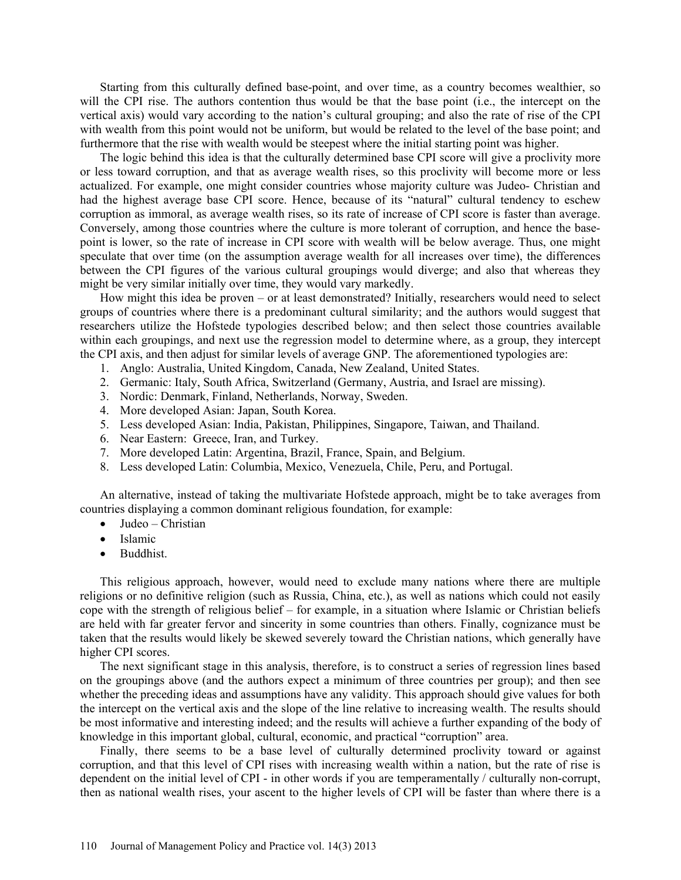Starting from this culturally defined base-point, and over time, as a country becomes wealthier, so will the CPI rise. The authors contention thus would be that the base point (i.e., the intercept on the vertical axis) would vary according to the nation's cultural grouping; and also the rate of rise of the CPI with wealth from this point would not be uniform, but would be related to the level of the base point; and furthermore that the rise with wealth would be steepest where the initial starting point was higher.

The logic behind this idea is that the culturally determined base CPI score will give a proclivity more or less toward corruption, and that as average wealth rises, so this proclivity will become more or less actualized. For example, one might consider countries whose majority culture was Judeo- Christian and had the highest average base CPI score. Hence, because of its "natural" cultural tendency to eschew corruption as immoral, as average wealth rises, so its rate of increase of CPI score is faster than average. Conversely, among those countries where the culture is more tolerant of corruption, and hence the basepoint is lower, so the rate of increase in CPI score with wealth will be below average. Thus, one might speculate that over time (on the assumption average wealth for all increases over time), the differences between the CPI figures of the various cultural groupings would diverge; and also that whereas they might be very similar initially over time, they would vary markedly.

How might this idea be proven – or at least demonstrated? Initially, researchers would need to select groups of countries where there is a predominant cultural similarity; and the authors would suggest that researchers utilize the Hofstede typologies described below; and then select those countries available within each groupings, and next use the regression model to determine where, as a group, they intercept the CPI axis, and then adjust for similar levels of average GNP. The aforementioned typologies are:

- 1. Anglo: Australia, United Kingdom, Canada, New Zealand, United States.
- 2. Germanic: Italy, South Africa, Switzerland (Germany, Austria, and Israel are missing).
- 3. Nordic: Denmark, Finland, Netherlands, Norway, Sweden.
- 4. More developed Asian: Japan, South Korea.
- 5. Less developed Asian: India, Pakistan, Philippines, Singapore, Taiwan, and Thailand.
- 6. Near Eastern: Greece, Iran, and Turkey.
- 7. More developed Latin: Argentina, Brazil, France, Spain, and Belgium.
- 8. Less developed Latin: Columbia, Mexico, Venezuela, Chile, Peru, and Portugal.

An alternative, instead of taking the multivariate Hofstede approach, might be to take averages from countries displaying a common dominant religious foundation, for example:

- Judeo Christian
- Islamic
- Buddhist.

This religious approach, however, would need to exclude many nations where there are multiple religions or no definitive religion (such as Russia, China, etc.), as well as nations which could not easily cope with the strength of religious belief – for example, in a situation where Islamic or Christian beliefs are held with far greater fervor and sincerity in some countries than others. Finally, cognizance must be taken that the results would likely be skewed severely toward the Christian nations, which generally have higher CPI scores.

The next significant stage in this analysis, therefore, is to construct a series of regression lines based on the groupings above (and the authors expect a minimum of three countries per group); and then see whether the preceding ideas and assumptions have any validity. This approach should give values for both the intercept on the vertical axis and the slope of the line relative to increasing wealth. The results should be most informative and interesting indeed; and the results will achieve a further expanding of the body of knowledge in this important global, cultural, economic, and practical "corruption" area.

Finally, there seems to be a base level of culturally determined proclivity toward or against corruption, and that this level of CPI rises with increasing wealth within a nation, but the rate of rise is dependent on the initial level of CPI - in other words if you are temperamentally / culturally non-corrupt, then as national wealth rises, your ascent to the higher levels of CPI will be faster than where there is a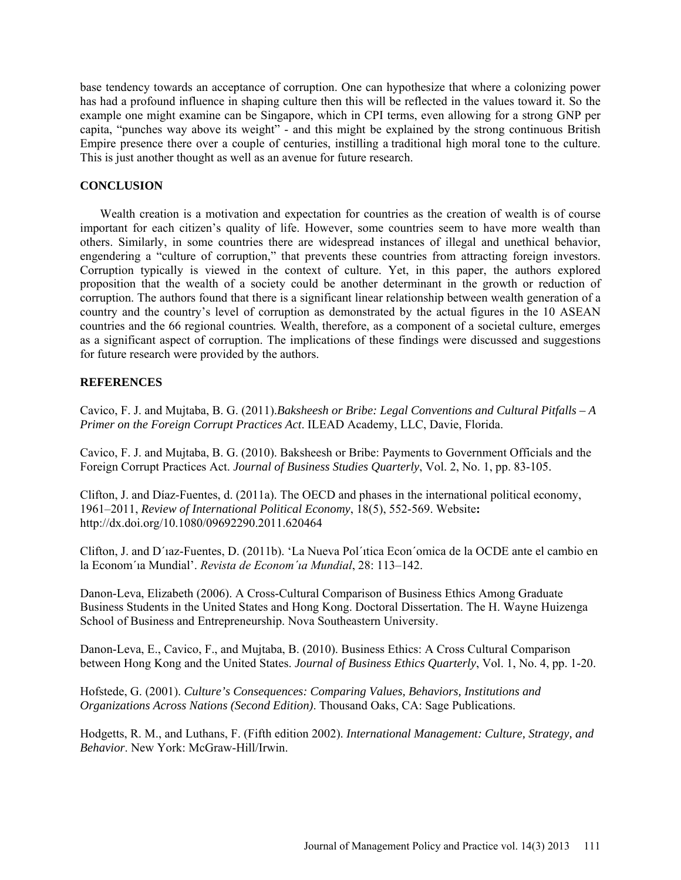base tendency towards an acceptance of corruption. One can hypothesize that where a colonizing power has had a profound influence in shaping culture then this will be reflected in the values toward it. So the example one might examine can be Singapore, which in CPI terms, even allowing for a strong GNP per capita, "punches way above its weight" - and this might be explained by the strong continuous British Empire presence there over a couple of centuries, instilling a traditional high moral tone to the culture. This is just another thought as well as an avenue for future research.

## **CONCLUSION**

Wealth creation is a motivation and expectation for countries as the creation of wealth is of course important for each citizen's quality of life. However, some countries seem to have more wealth than others. Similarly, in some countries there are widespread instances of illegal and unethical behavior, engendering a "culture of corruption," that prevents these countries from attracting foreign investors. Corruption typically is viewed in the context of culture. Yet, in this paper, the authors explored proposition that the wealth of a society could be another determinant in the growth or reduction of corruption. The authors found that there is a significant linear relationship between wealth generation of a country and the country's level of corruption as demonstrated by the actual figures in the 10 ASEAN countries and the 66 regional countries*.* Wealth, therefore, as a component of a societal culture, emerges as a significant aspect of corruption. The implications of these findings were discussed and suggestions for future research were provided by the authors.

## **REFERENCES**

Cavico, F. J. and Mujtaba, B. G. (2011).*Baksheesh or Bribe: Legal Conventions and Cultural Pitfalls – A Primer on the Foreign Corrupt Practices Act*. ILEAD Academy, LLC, Davie, Florida.

Cavico, F. J. and Mujtaba, B. G. (2010). Baksheesh or Bribe: Payments to Government Officials and the Foreign Corrupt Practices Act. *Journal of Business Studies Quarterly*, Vol. 2, No. 1, pp. 83-105.

Clifton, J. and Díaz-Fuentes, d. (2011a). The OECD and phases in the international political economy, 1961–2011, *Review of International Political Economy*, 18(5), 552-569. Website**:**  http://dx.doi.org/10.1080/09692290.2011.620464

Clifton, J. and D´ıaz-Fuentes, D. (2011b). 'La Nueva Pol´ıtica Econ´omica de la OCDE ante el cambio en la Econom´ıa Mundial'. *Revista de Econom´ıa Mundial*, 28: 113–142.

Danon-Leva, Elizabeth (2006). A Cross-Cultural Comparison of Business Ethics Among Graduate Business Students in the United States and Hong Kong. Doctoral Dissertation. The H. Wayne Huizenga School of Business and Entrepreneurship. Nova Southeastern University.

Danon-Leva, E., Cavico, F., and Mujtaba, B. (2010). Business Ethics: A Cross Cultural Comparison between Hong Kong and the United States. *Journal of Business Ethics Quarterly*, Vol. 1, No. 4, pp. 1-20.

Hofstede, G. (2001). *Culture's Consequences: Comparing Values, Behaviors, Institutions and Organizations Across Nations (Second Edition)*. Thousand Oaks, CA: Sage Publications.

Hodgetts, R. M., and Luthans, F. (Fifth edition 2002). *International Management: Culture, Strategy, and Behavior*. New York: McGraw-Hill/Irwin.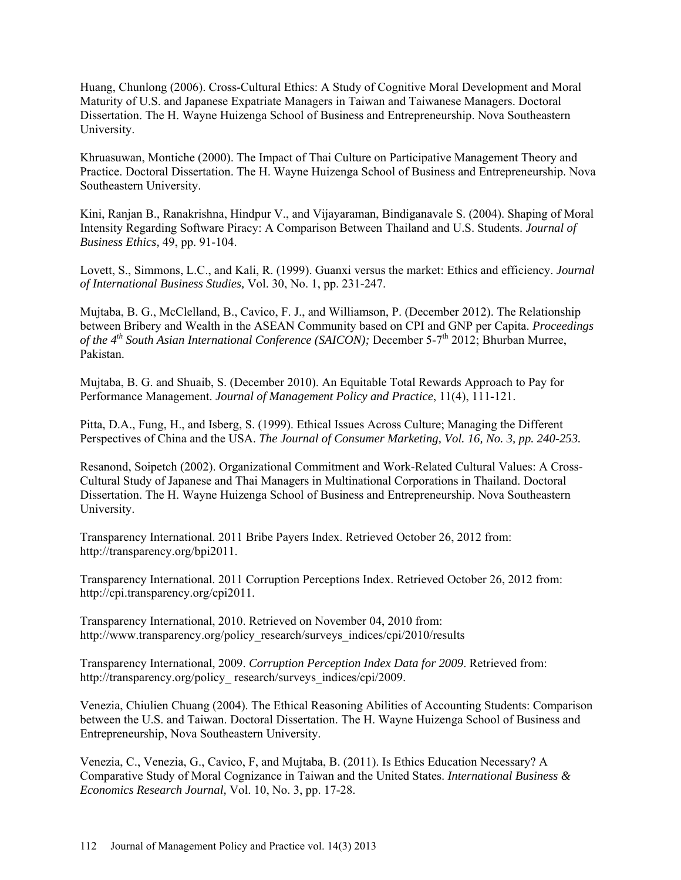Huang, Chunlong (2006). Cross-Cultural Ethics: A Study of Cognitive Moral Development and Moral Maturity of U.S. and Japanese Expatriate Managers in Taiwan and Taiwanese Managers. Doctoral Dissertation. The H. Wayne Huizenga School of Business and Entrepreneurship. Nova Southeastern University.

Khruasuwan, Montiche (2000). The Impact of Thai Culture on Participative Management Theory and Practice. Doctoral Dissertation. The H. Wayne Huizenga School of Business and Entrepreneurship. Nova Southeastern University.

Kini, Ranjan B., Ranakrishna, Hindpur V., and Vijayaraman, Bindiganavale S. (2004). Shaping of Moral Intensity Regarding Software Piracy: A Comparison Between Thailand and U.S. Students. *Journal of Business Ethics,* 49, pp. 91-104.

Lovett, S., Simmons, L.C., and Kali, R. (1999). Guanxi versus the market: Ethics and efficiency. *Journal of International Business Studies,* Vol. 30, No. 1, pp. 231-247.

Mujtaba, B. G., McClelland, B., Cavico, F. J., and Williamson, P. (December 2012). The Relationship between Bribery and Wealth in the ASEAN Community based on CPI and GNP per Capita. *Proceedings of the 4<sup>th</sup> South Asian International Conference (SAICON);* December 5-7<sup>th</sup> 2012; Bhurban Murree, Pakistan.

Mujtaba, B. G. and Shuaib, S. (December 2010). An Equitable Total Rewards Approach to Pay for Performance Management. *Journal of Management Policy and Practice*, 11(4), 111-121.

Pitta, D.A., Fung, H., and Isberg, S. (1999). Ethical Issues Across Culture; Managing the Different Perspectives of China and the USA. *The Journal of Consumer Marketing, Vol. 16, No. 3, pp. 240-253.*

Resanond, Soipetch (2002). Organizational Commitment and Work-Related Cultural Values: A Cross-Cultural Study of Japanese and Thai Managers in Multinational Corporations in Thailand. Doctoral Dissertation. The H. Wayne Huizenga School of Business and Entrepreneurship. Nova Southeastern University.

Transparency International. 2011 Bribe Payers Index. Retrieved October 26, 2012 from: [http://transparency.org/bpi2011.](http://transparency.org/bpi2011)

Transparency International. 2011 Corruption Perceptions Index. Retrieved October 26, 2012 from: [http://cpi.transparency.org/cpi2011.](http://cpi.transparency.org/cpi2011)

Transparency International, 2010. Retrieved on November 04, 2010 from: [http://www.transparency.org/policy\\_research/surveys\\_indices/cpi/2010/results](http://www.transparency.org/policy_research/surveys_indices/cpi/2010/results)

Transparency International, 2009. *Corruption Perception Index Data for 2009*. Retrieved from: http://transparency.org/policy\_research/surveys\_indices/cpi/2009.

Venezia, Chiulien Chuang (2004). The Ethical Reasoning Abilities of Accounting Students: Comparison between the U.S. and Taiwan. Doctoral Dissertation. The H. Wayne Huizenga School of Business and Entrepreneurship, Nova Southeastern University.

Venezia, C., Venezia, G., Cavico, F, and Mujtaba, B. (2011). Is Ethics Education Necessary? A Comparative Study of Moral Cognizance in Taiwan and the United States. *International Business & Economics Research Journal,* Vol. 10, No. 3, pp. 17-28.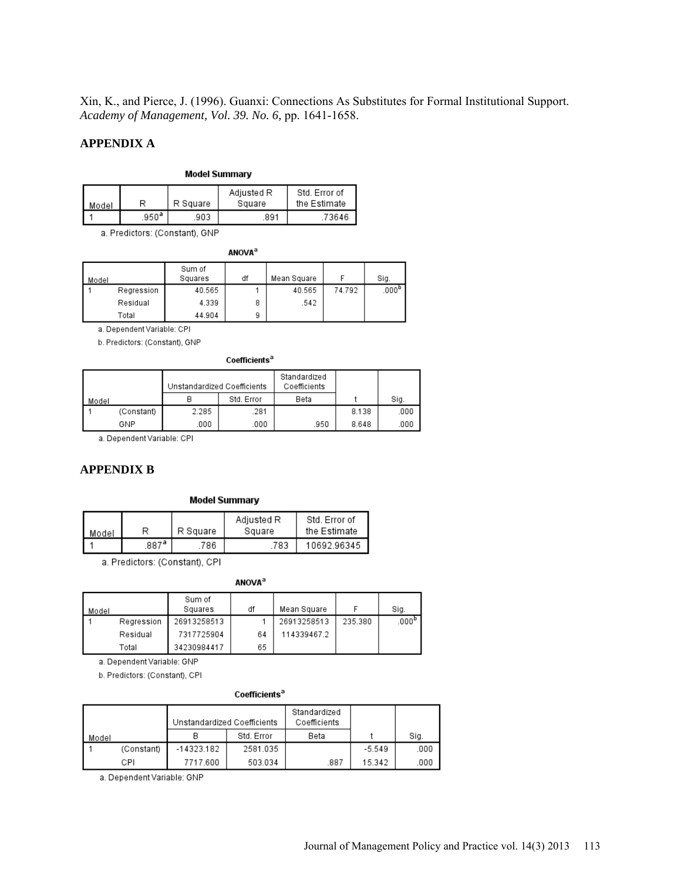Xin, K., and Pierce, J. (1996). Guanxi: Connections As Substitutes for Formal Institutional Support. *Academy of Management, Vol. 39. No. 6,* pp. 1641-1658.

## **APPENDIX A**

## **Model Summary**

| Model |      | R Square | Adjusted R<br>Square | Std. Error of<br>the Estimate |
|-------|------|----------|----------------------|-------------------------------|
|       | 950ª | 903      | 891                  | 73646                         |

a. Predictors: (Constant), GNP

#### **ANOVA**<sup>a</sup>

| Model |            | Sum of<br>Squares | df | Mean Square |        | Sig.              |
|-------|------------|-------------------|----|-------------|--------|-------------------|
|       | Regression | 40.565            |    | 40.565      | 74.792 | .000 <sup>b</sup> |
|       | Residual   | 4.339             | 8  | .542        |        |                   |
|       | Total      | 44.904            | 9  |             |        |                   |

a. Dependent Variable: CPI

b. Predictors: (Constant), GNP

#### Coefficients<sup>a</sup>

|       |            | Unstandardized Coefficients |            | Standardized<br>Coefficients |       |      |
|-------|------------|-----------------------------|------------|------------------------------|-------|------|
| Model |            |                             | Std. Error | Beta                         |       | Sig. |
|       | (Constant) | 2.285                       | .281       |                              | 8.138 | .000 |
|       | GNP        | .000                        | .000       | .950                         | 8.648 | .000 |

a. Dependent Variable: CPI

## **APPENDIX B**

#### **Model Summary**

| Model |      | R Square | Adjusted R<br>Square | Std. Error of<br>the Estimate |
|-------|------|----------|----------------------|-------------------------------|
|       | 887ª | 786      | .783                 | 10692.96345                   |

a. Predictors: (Constant), CPI

#### **ANOVA**<sup>a</sup>

| Model |            | Sum of<br>Squares | df | Mean Square |         | Sig.  |
|-------|------------|-------------------|----|-------------|---------|-------|
|       | Regression | 26913258513       |    | 26913258513 | 235.380 | .000° |
|       | Residual   | 7317725904        | 64 | 114339467.2 |         |       |
|       | Total      | 34230984417       | 65 |             |         |       |

a. Dependent Variable: GNP

b. Predictors: (Constant), CPI

#### Coefficients<sup>a</sup>

|       |            | Unstandardized Coefficients |            | Standardized<br>Coefficients |          |      |
|-------|------------|-----------------------------|------------|------------------------------|----------|------|
| Model |            |                             | Std. Error | Beta                         |          | Siq. |
|       | (Constant) | -14323.182                  | 2581.035   |                              | $-5.549$ | .000 |
|       | CPI        | 7717.600                    | 503.034    | .887                         | 15.342   | .000 |

a. Dependent Variable: GNP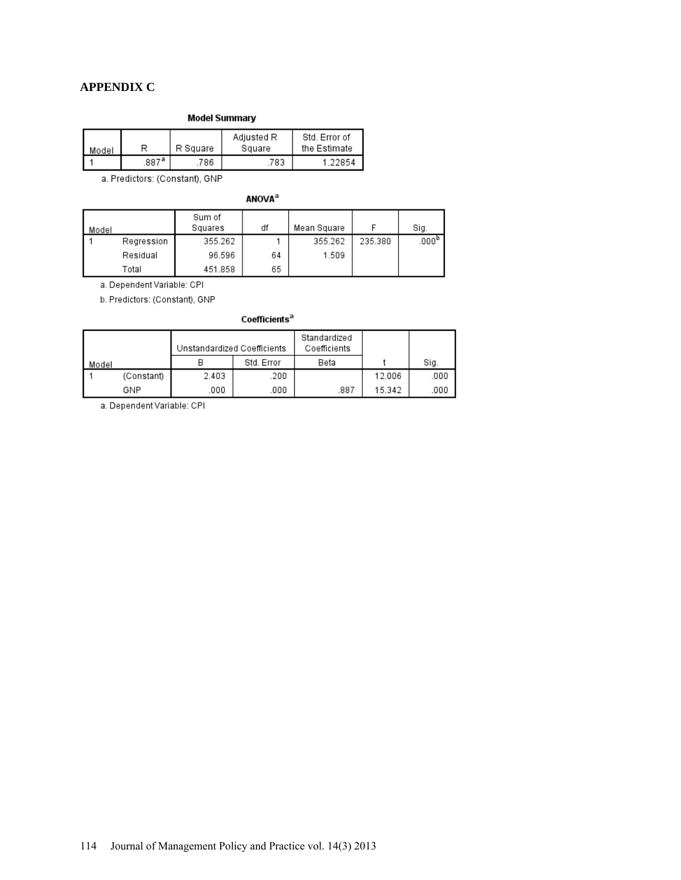## **APPENDIX C**

### **Model Summary**

| Model |      | R Square | Adiusted R<br>Square | Std. Error of<br>the Estimate |
|-------|------|----------|----------------------|-------------------------------|
|       | 887ª | 786      | .783                 | ∎ 22854                       |

a. Predictors: (Constant), GNP

**ANOVA**<sup>a</sup>

| Model |            | Sum of<br>Squares | df | Mean Square |         | Sig.                |
|-------|------------|-------------------|----|-------------|---------|---------------------|
|       | Regression | 355.262           |    | 355.262     | 235.380 | $.000^{\mathrm{p}}$ |
|       | Residual   | 96.596            | 64 | 1.509       |         |                     |
|       | Total      | 451.858           | 65 |             |         |                     |

a. Dependent Variable: CPI

b. Predictors: (Constant), GNP

### Coefficients<sup>a</sup>

|       |            | Unstandardized Coefficients |            | Standardized<br>Coefficients |        |      |
|-------|------------|-----------------------------|------------|------------------------------|--------|------|
| Model |            |                             | Std. Error | Beta                         |        | Sig. |
|       | (Constant) | 2.403                       | .200       |                              | 12.006 | .000 |
|       | GNP        | .000                        | .000       | .887                         | 15.342 | 000  |

a. Dependent Variable: CPI